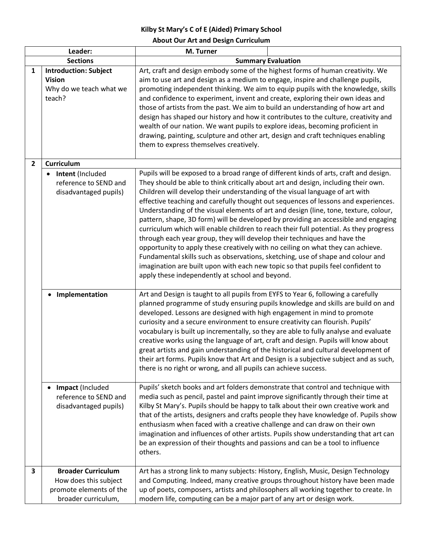## **Kilby St Mary's C of E (Aided) Primary School**

**About Our Art and Design Curriculum**

| Leader:         |                                                                                                      | M. Turner                                                                                                                                                                                                                                                                                                                                                                                                                                                                                                                                                                                                                                                                                                                                                                                                                                                                                                                                                                                                        |
|-----------------|------------------------------------------------------------------------------------------------------|------------------------------------------------------------------------------------------------------------------------------------------------------------------------------------------------------------------------------------------------------------------------------------------------------------------------------------------------------------------------------------------------------------------------------------------------------------------------------------------------------------------------------------------------------------------------------------------------------------------------------------------------------------------------------------------------------------------------------------------------------------------------------------------------------------------------------------------------------------------------------------------------------------------------------------------------------------------------------------------------------------------|
| <b>Sections</b> |                                                                                                      | <b>Summary Evaluation</b>                                                                                                                                                                                                                                                                                                                                                                                                                                                                                                                                                                                                                                                                                                                                                                                                                                                                                                                                                                                        |
| $\mathbf{1}$    | <b>Introduction: Subject</b><br><b>Vision</b><br>Why do we teach what we<br>teach?                   | Art, craft and design embody some of the highest forms of human creativity. We<br>aim to use art and design as a medium to engage, inspire and challenge pupils,<br>promoting independent thinking. We aim to equip pupils with the knowledge, skills<br>and confidence to experiment, invent and create, exploring their own ideas and<br>those of artists from the past. We aim to build an understanding of how art and<br>design has shaped our history and how it contributes to the culture, creativity and<br>wealth of our nation. We want pupils to explore ideas, becoming proficient in<br>drawing, painting, sculpture and other art, design and craft techniques enabling<br>them to express themselves creatively.                                                                                                                                                                                                                                                                                 |
| $\mathbf{2}$    | <b>Curriculum</b>                                                                                    |                                                                                                                                                                                                                                                                                                                                                                                                                                                                                                                                                                                                                                                                                                                                                                                                                                                                                                                                                                                                                  |
|                 | Intent (Included<br>reference to SEND and<br>disadvantaged pupils)                                   | Pupils will be exposed to a broad range of different kinds of arts, craft and design.<br>They should be able to think critically about art and design, including their own.<br>Children will develop their understanding of the visual language of art with<br>effective teaching and carefully thought out sequences of lessons and experiences.<br>Understanding of the visual elements of art and design (line, tone, texture, colour,<br>pattern, shape, 3D form) will be developed by providing an accessible and engaging<br>curriculum which will enable children to reach their full potential. As they progress<br>through each year group, they will develop their techniques and have the<br>opportunity to apply these creatively with no ceiling on what they can achieve.<br>Fundamental skills such as observations, sketching, use of shape and colour and<br>imagination are built upon with each new topic so that pupils feel confident to<br>apply these independently at school and beyond. |
|                 | • Implementation                                                                                     | Art and Design is taught to all pupils from EYFS to Year 6, following a carefully<br>planned programme of study ensuring pupils knowledge and skills are build on and<br>developed. Lessons are designed with high engagement in mind to promote<br>curiosity and a secure environment to ensure creativity can flourish. Pupils'<br>vocabulary is built up incrementally, so they are able to fully analyse and evaluate<br>creative works using the language of art, craft and design. Pupils will know about<br>great artists and gain understanding of the historical and cultural development of<br>their art forms. Pupils know that Art and Design is a subjective subject and as such,<br>there is no right or wrong, and all pupils can achieve success.                                                                                                                                                                                                                                                |
|                 | Impact (Included<br>$\bullet$<br>reference to SEND and<br>disadvantaged pupils)                      | Pupils' sketch books and art folders demonstrate that control and technique with<br>media such as pencil, pastel and paint improve significantly through their time at<br>Kilby St Mary's. Pupils should be happy to talk about their own creative work and<br>that of the artists, designers and crafts people they have knowledge of. Pupils show<br>enthusiasm when faced with a creative challenge and can draw on their own<br>imagination and influences of other artists. Pupils show understanding that art can<br>be an expression of their thoughts and passions and can be a tool to influence<br>others.                                                                                                                                                                                                                                                                                                                                                                                             |
| 3               | <b>Broader Curriculum</b><br>How does this subject<br>promote elements of the<br>broader curriculum, | Art has a strong link to many subjects: History, English, Music, Design Technology<br>and Computing. Indeed, many creative groups throughout history have been made<br>up of poets, composers, artists and philosophers all working together to create. In<br>modern life, computing can be a major part of any art or design work.                                                                                                                                                                                                                                                                                                                                                                                                                                                                                                                                                                                                                                                                              |